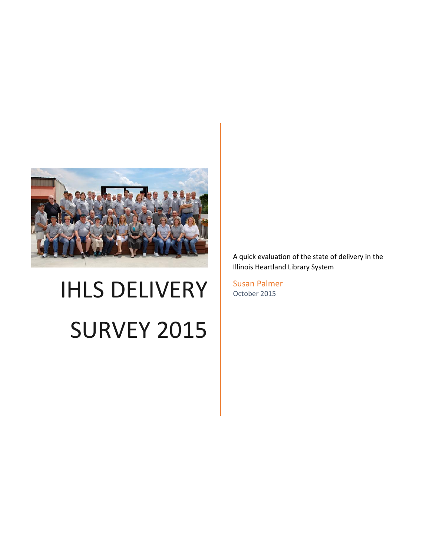

# IHLS DELIVERY SURVEY 2015

A quick evaluation of the state of delivery in the Illinois Heartland Library System

Susan Palmer October 2015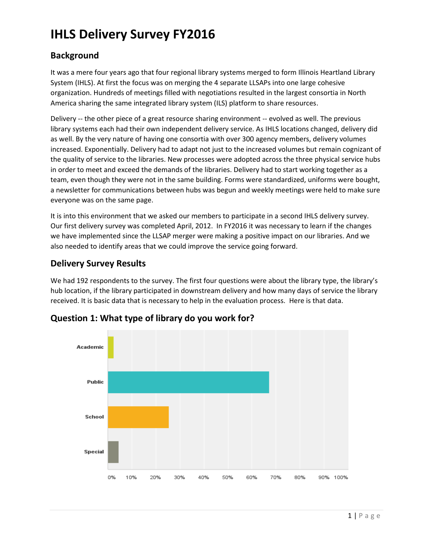# **IHLS Delivery Survey FY2016**

#### **Background**

It was a mere four years ago that four regional library systems merged to form Illinois Heartland Library System (IHLS). At first the focus was on merging the 4 separate LLSAPs into one large cohesive organization. Hundreds of meetings filled with negotiations resulted in the largest consortia in North America sharing the same integrated library system (ILS) platform to share resources.

Delivery -- the other piece of a great resource sharing environment -- evolved as well. The previous library systems each had their own independent delivery service. As IHLS locations changed, delivery did as well. By the very nature of having one consortia with over 300 agency members, delivery volumes increased. Exponentially. Delivery had to adapt not just to the increased volumes but remain cognizant of the quality of service to the libraries. New processes were adopted across the three physical service hubs in order to meet and exceed the demands of the libraries. Delivery had to start working together as a team, even though they were not in the same building. Forms were standardized, uniforms were bought, a newsletter for communications between hubs was begun and weekly meetings were held to make sure everyone was on the same page.

It is into this environment that we asked our members to participate in a second IHLS delivery survey. Our first delivery survey was completed April, 2012. In FY2016 it was necessary to learn if the changes we have implemented since the LLSAP merger were making a positive impact on our libraries. And we also needed to identify areas that we could improve the service going forward.

#### **Delivery Survey Results**

We had 192 respondents to the survey. The first four questions were about the library type, the library's hub location, if the library participated in downstream delivery and how many days of service the library received. It is basic data that is necessary to help in the evaluation process. Here is that data.



#### **Question 1: What type of library do you work for?**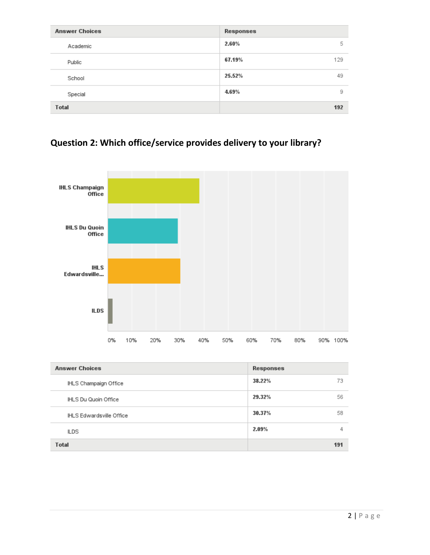| <b>Answer Choices</b> | Responses     |
|-----------------------|---------------|
| Academic              | 2.60%<br>5    |
| Public                | 67.19%<br>129 |
| School                | 25.52%<br>49  |
| Special               | 9<br>4.69%    |
| <b>Total</b>          | 192           |

# **Question 2: Which office/service provides delivery to your library?**



| <b>Answer Choices</b>    | Responses    |
|--------------------------|--------------|
| IHLS Champaign Office    | 73<br>38.22% |
| IHLS Du Quoin Office     | 56<br>29.32% |
| IHLS Edwardsville Office | 30.37%<br>58 |
| ILDS                     | 2.09%<br>4   |
| <b>Total</b>             | 191          |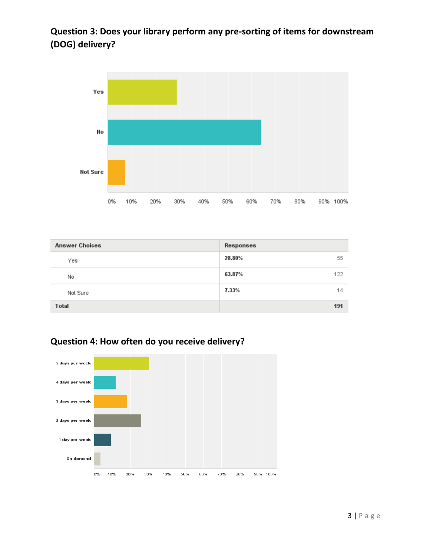# **Question 3: Does your library perform any pre-sorting of items for downstream (DOG) delivery?**



| <b>Answer Choices</b> | Responses     |
|-----------------------|---------------|
| Yes                   | 55<br>28.80%  |
| No                    | 63.87%<br>122 |
| Not Sure              | 7.33%<br>14   |
| <b>Total</b>          | 191           |



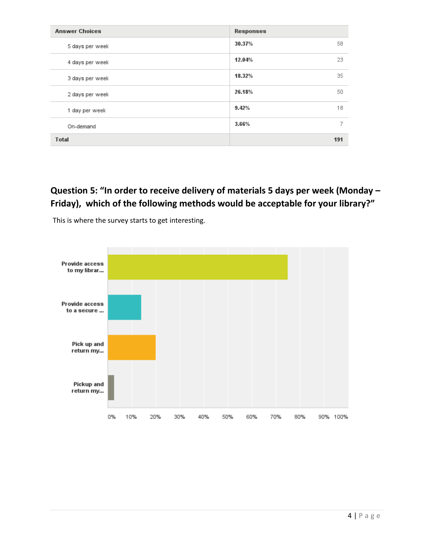| <b>Answer Choices</b> | Responses    |
|-----------------------|--------------|
| 5 days per week       | 30.37%<br>58 |
| 4 days per week       | 23<br>12.04% |
| 3 days per week       | 35<br>18.32% |
| 2 days per week       | 26.18%<br>50 |
| 1 day per week        | 9.42%<br>18  |
| On-demand             | 7<br>3.66%   |
| <b>Total</b>          | 191          |

# **Question 5: "In order to receive delivery of materials 5 days per week (Monday – Friday), which of the following methods would be acceptable for your library?"**



This is where the survey starts to get interesting.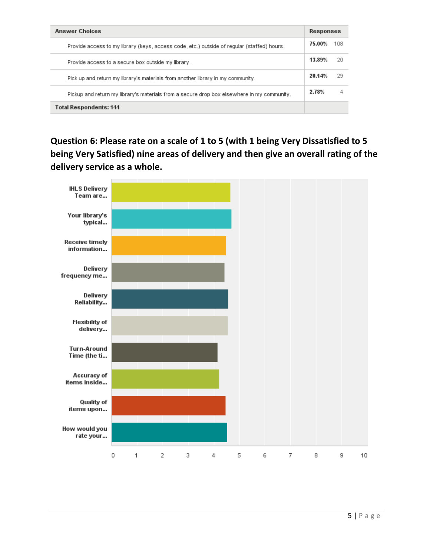| <b>Answer Choices</b>                                                                      |        | <b>Responses</b> |  |
|--------------------------------------------------------------------------------------------|--------|------------------|--|
| Provide access to my library (keys, access code, etc.) outside of reqular (staffed) hours. | 75.00% | 108              |  |
| Provide access to a secure box outside my library.                                         | 13.89% | 20.              |  |
| Pick up and return my library's materials from another library in my community.            | 20.14% | 29               |  |
| Pickup and return my library's materials from a secure drop box elsewhere in my community. | 2.78%  | 4                |  |
| <b>Total Respondents: 144</b>                                                              |        |                  |  |

**Question 6: Please rate on a scale of 1 to 5 (with 1 being Very Dissatisfied to 5 being Very Satisfied) nine areas of delivery and then give an overall rating of the delivery service as a whole.**

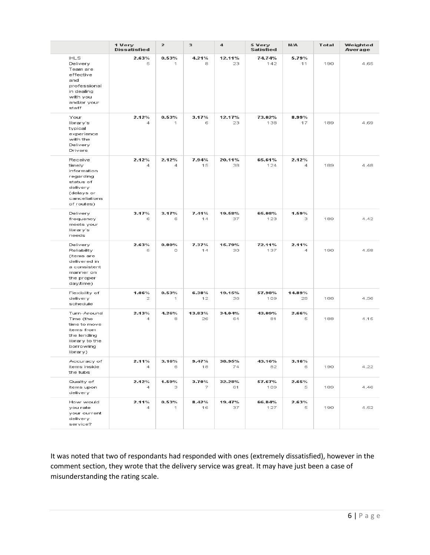|                                                                                                                           | 1 Very<br><b>Dissatisfied</b> | $\overline{z}$ | 3            | 4            | 5 Very<br>Satisfied | N/A          | <b>Total</b> | Weighted<br>Average |
|---------------------------------------------------------------------------------------------------------------------------|-------------------------------|----------------|--------------|--------------|---------------------|--------------|--------------|---------------------|
| <b>IHLS</b><br>Delivery<br>Team are<br>effective<br>and<br>professional<br>in dealing<br>with you<br>and/or your<br>staff | 2.63%<br>5                    | 0.53%<br>1     | 4.21%<br>8   | 12.11%<br>23 | 74.74%<br>142       | 5.79%<br>11  | 190          | 4.65                |
| Your<br>library's<br>typical<br>experience<br>with the<br>Delivery<br>Drivers                                             | 2.12%<br>4                    | 0.53%<br>1     | 3.17%<br>6   | 12.17%<br>23 | 73.02%<br>138       | 8.99%<br>17  | 189          | 4.69                |
| Receive<br>timely<br>information<br>regarding<br>status of<br>delivery<br>(delays or<br>cancellations<br>of routes)       | 2.12%<br>4                    | 2.12%<br>4     | 7.94%<br>15  | 20.11%<br>38 | 65.61%<br>124       | 2.12%<br>4   | 189          | 4.48                |
| Delivery<br>frequency<br>meets your<br>library's<br>needs                                                                 | 3.17%<br>6                    | 3.17%<br>6     | 7.41%<br>14  | 19.58%<br>37 | 65.08%<br>123       | 1.59%<br>3   | 189          | 4.42                |
| Delivery<br>Reliability<br>(items are<br>delivered in<br>a consistent<br>manner on<br>the proper<br>day/time)             | 2.63%<br>5                    | 0.00%<br>0     | 7.37%<br>14  | 15.79%<br>30 | 72.11%<br>137       | 2.11%<br>4   | 190          | 4.58                |
| Flexibility of<br>delivery<br>schedule                                                                                    | 1.06%<br>2                    | 0.53%<br>1     | 6.38%<br>12  | 19.15%<br>36 | 57.98%<br>109       | 14.89%<br>28 | 188          | 4.56                |
| Turn-Around<br>Time (the<br>time to move<br>items from<br>the lending<br>library to the<br>borrowing<br>library)          | 2.13%<br>4                    | 4.26%<br>8     | 13.83%<br>26 | 34.04%<br>64 | 43.09%<br>81        | 2.66%<br>5   | 188          | 4.15                |
| Accuracy of<br>items inside<br>the tubs                                                                                   | 2.11%<br>4                    | 3.16%<br>6     | 9.47%<br>18  | 38.95%<br>74 | 43.16%<br>82        | 3.16%<br>6   | 190          | 4.22                |
| Quality of<br>items upon<br>delivery                                                                                      | 2.12%<br>4                    | 1.59%<br>з     | 3.70%<br>7   | 32.28%<br>61 | 57.67%<br>109       | 2.65%<br>5   | 189          | 4.46                |
| How would<br>you rate<br>your current<br>delivery<br>service?                                                             | 2.11%<br>4                    | 0.53%<br>1     | 8.42%<br>16  | 19.47%<br>37 | 66.84%<br>127       | 2.63%<br>5   | 190          | 4.52                |

It was noted that two of respondants had responded with ones (extremely dissatisfied), however in the comment section, they wrote that the delivery service was great. It may have just been a case of misunderstanding the rating scale.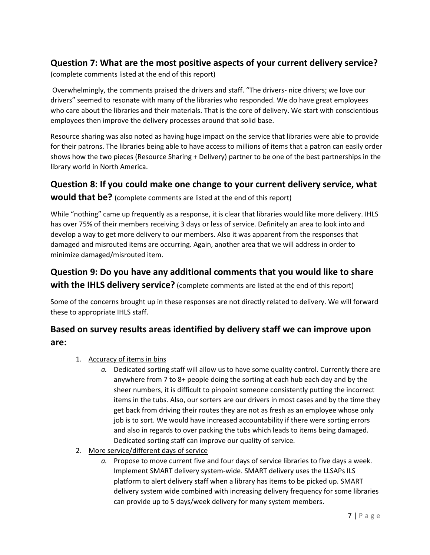#### **Question 7: What are the most positive aspects of your current delivery service?**

(complete comments listed at the end of this report)

Overwhelmingly, the comments praised the drivers and staff. "The drivers- nice drivers; we love our drivers" seemed to resonate with many of the libraries who responded. We do have great employees who care about the libraries and their materials. That is the core of delivery. We start with conscientious employees then improve the delivery processes around that solid base.

Resource sharing was also noted as having huge impact on the service that libraries were able to provide for their patrons. The libraries being able to have access to millions of items that a patron can easily order shows how the two pieces (Resource Sharing + Delivery) partner to be one of the best partnerships in the library world in North America.

#### **Question 8: If you could make one change to your current delivery service, what**

**would that be?** (complete comments are listed at the end of this report)

While "nothing" came up frequently as a response, it is clear that libraries would like more delivery. IHLS has over 75% of their members receiving 3 days or less of service. Definitely an area to look into and develop a way to get more delivery to our members. Also it was apparent from the responses that damaged and misrouted items are occurring. Again, another area that we will address in order to minimize damaged/misrouted item.

## **Question 9: Do you have any additional comments that you would like to share with the IHLS delivery service?** (complete comments are listed at the end of this report)

Some of the concerns brought up in these responses are not directly related to delivery. We will forward these to appropriate IHLS staff.

#### **Based on survey results areas identified by delivery staff we can improve upon are:**

- 1. Accuracy of items in bins
	- *a.* Dedicated sorting staff will allow us to have some quality control. Currently there are anywhere from 7 to 8+ people doing the sorting at each hub each day and by the sheer numbers, it is difficult to pinpoint someone consistently putting the incorrect items in the tubs. Also, our sorters are our drivers in most cases and by the time they get back from driving their routes they are not as fresh as an employee whose only job is to sort. We would have increased accountability if there were sorting errors and also in regards to over packing the tubs which leads to items being damaged. Dedicated sorting staff can improve our quality of service*.*
- 2. More service/different days of service
	- *a.* Propose to move current five and four days of service libraries to five days a week. Implement SMART delivery system-wide. SMART delivery uses the LLSAPs ILS platform to alert delivery staff when a library has items to be picked up. SMART delivery system wide combined with increasing delivery frequency for some libraries can provide up to 5 days/week delivery for many system members.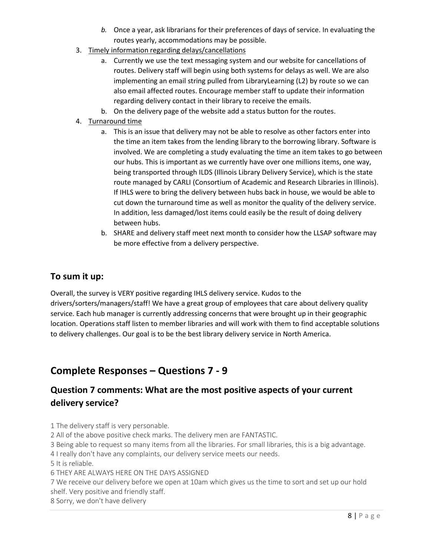- *b.* Once a year, ask librarians for their preferences of days of service. In evaluating the routes yearly, accommodations may be possible.
- 3. Timely information regarding delays/cancellations
	- a. Currently we use the text messaging system and our website for cancellations of routes. Delivery staff will begin using both systems for delays as well. We are also implementing an email string pulled from LibraryLearning (L2) by route so we can also email affected routes. Encourage member staff to update their information regarding delivery contact in their library to receive the emails.
	- b. On the delivery page of the website add a status button for the routes.
- 4. Turnaround time
	- a. This is an issue that delivery may not be able to resolve as other factors enter into the time an item takes from the lending library to the borrowing library. Software is involved. We are completing a study evaluating the time an item takes to go between our hubs. This is important as we currently have over one millions items, one way, being transported through ILDS (Illinois Library Delivery Service), which is the state route managed by CARLI (Consortium of Academic and Research Libraries in Illinois). If IHLS were to bring the delivery between hubs back in house, we would be able to cut down the turnaround time as well as monitor the quality of the delivery service. In addition, less damaged/lost items could easily be the result of doing delivery between hubs.
	- b. SHARE and delivery staff meet next month to consider how the LLSAP software may be more effective from a delivery perspective.

#### **To sum it up:**

Overall, the survey is VERY positive regarding IHLS delivery service. Kudos to the drivers/sorters/managers/staff! We have a great group of employees that care about delivery quality service. Each hub manager is currently addressing concerns that were brought up in their geographic location. Operations staff listen to member libraries and will work with them to find acceptable solutions to delivery challenges. Our goal is to be the best library delivery service in North America.

## **Complete Responses – Questions 7 - 9**

#### **Question 7 comments: What are the most positive aspects of your current delivery service?**

1 The delivery staff is very personable.

- 2 All of the above positive check marks. The delivery men are FANTASTIC.
- 3 Being able to request so many items from all the libraries. For small libraries, this is a big advantage.
- 4 I really don't have any complaints, our delivery service meets our needs.

5 It is reliable.

6 THEY ARE ALWAYS HERE ON THE DAYS ASSIGNED

7 We receive our delivery before we open at 10am which gives us the time to sort and set up our hold shelf. Very positive and friendly staff.

8 Sorry, we don't have delivery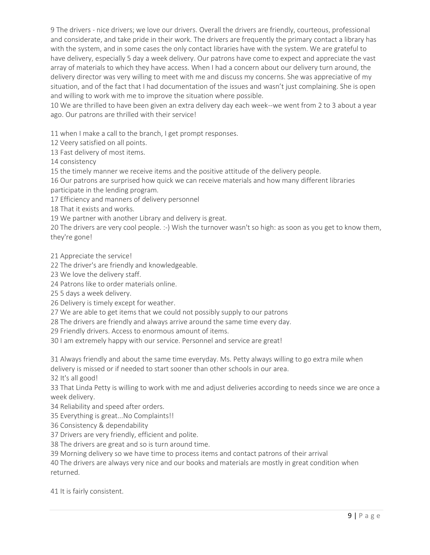9 The drivers - nice drivers; we love our drivers. Overall the drivers are friendly, courteous, professional and considerate, and take pride in their work. The drivers are frequently the primary contact a library has with the system, and in some cases the only contact libraries have with the system. We are grateful to have delivery, especially 5 day a week delivery. Our patrons have come to expect and appreciate the vast array of materials to which they have access. When I had a concern about our delivery turn around, the delivery director was very willing to meet with me and discuss my concerns. She was appreciative of my situation, and of the fact that I had documentation of the issues and wasn't just complaining. She is open and willing to work with me to improve the situation where possible.

10 We are thrilled to have been given an extra delivery day each week--we went from 2 to 3 about a year ago. Our patrons are thrilled with their service!

11 when I make a call to the branch, I get prompt responses.

12 Veery satisfied on all points.

13 Fast delivery of most items.

14 consistency

15 the timely manner we receive items and the positive attitude of the delivery people.

16 Our patrons are surprised how quick we can receive materials and how many different libraries participate in the lending program.

17 Efficiency and manners of delivery personnel

18 That it exists and works.

19 We partner with another Library and delivery is great.

20 The drivers are very cool people. :-) Wish the turnover wasn't so high: as soon as you get to know them, they're gone!

21 Appreciate the service!

22 The driver's are friendly and knowledgeable.

23 We love the delivery staff.

24 Patrons like to order materials online.

25 5 days a week delivery.

26 Delivery is timely except for weather.

27 We are able to get items that we could not possibly supply to our patrons

28 The drivers are friendly and always arrive around the same time every day.

29 Friendly drivers. Access to enormous amount of items.

30 I am extremely happy with our service. Personnel and service are great!

31 Always friendly and about the same time everyday. Ms. Petty always willing to go extra mile when delivery is missed or if needed to start sooner than other schools in our area.

32 It's all good!

33 That Linda Petty is willing to work with me and adjust deliveries according to needs since we are once a week delivery.

34 Reliability and speed after orders.

35 Everything is great...No Complaints!!

36 Consistency & dependability

37 Drivers are very friendly, efficient and polite.

38 The drivers are great and so is turn around time.

39 Morning delivery so we have time to process items and contact patrons of their arrival

40 The drivers are always very nice and our books and materials are mostly in great condition when returned.

41 It is fairly consistent.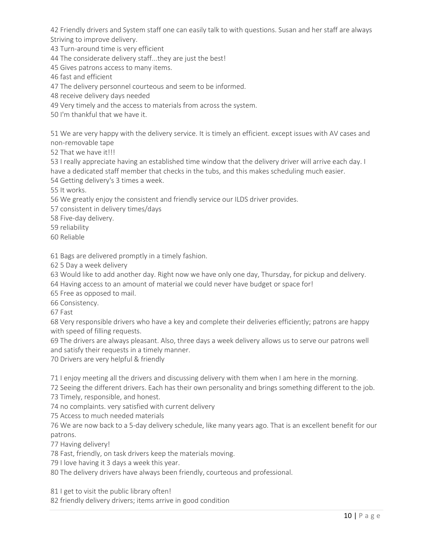42 Friendly drivers and System staff one can easily talk to with questions. Susan and her staff are always Striving to improve delivery.

43 Turn-around time is very efficient

44 The considerate delivery staff...they are just the best!

45 Gives patrons access to many items.

46 fast and efficient

47 The delivery personnel courteous and seem to be informed.

48 receive delivery days needed

49 Very timely and the access to materials from across the system.

50 I'm thankful that we have it.

51 We are very happy with the delivery service. It is timely an efficient. except issues with AV cases and non-removable tape

52 That we have it!!!

53 I really appreciate having an established time window that the delivery driver will arrive each day. I have a dedicated staff member that checks in the tubs, and this makes scheduling much easier. 54 Getting delivery's 3 times a week.

55 It works.

56 We greatly enjoy the consistent and friendly service our ILDS driver provides.

57 consistent in delivery times/days

58 Five-day delivery.

59 reliability

60 Reliable

61 Bags are delivered promptly in a timely fashion.

62 5 Day a week delivery

63 Would like to add another day. Right now we have only one day, Thursday, for pickup and delivery.

64 Having access to an amount of material we could never have budget or space for!

65 Free as opposed to mail.

66 Consistency.

67 Fast

68 Very responsible drivers who have a key and complete their deliveries efficiently; patrons are happy with speed of filling requests.

69 The drivers are always pleasant. Also, three days a week delivery allows us to serve our patrons well and satisfy their requests in a timely manner.

70 Drivers are very helpful & friendly

71 I enjoy meeting all the drivers and discussing delivery with them when I am here in the morning.

72 Seeing the different drivers. Each has their own personality and brings something different to the job. 73 Timely, responsible, and honest.

74 no complaints. very satisfied with current delivery

75 Access to much needed materials

76 We are now back to a 5-day delivery schedule, like many years ago. That is an excellent benefit for our patrons.

77 Having delivery!

78 Fast, friendly, on task drivers keep the materials moving.

79 I love having it 3 days a week this year.

80 The delivery drivers have always been friendly, courteous and professional.

81 I get to visit the public library often!

82 friendly delivery drivers; items arrive in good condition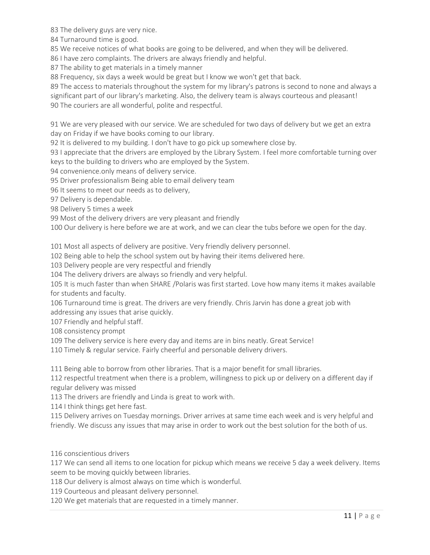83 The delivery guys are very nice.

84 Turnaround time is good.

85 We receive notices of what books are going to be delivered, and when they will be delivered.

86 I have zero complaints. The drivers are always friendly and helpful.

87 The ability to get materials in a timely manner

88 Frequency, six days a week would be great but I know we won't get that back.

89 The access to materials throughout the system for my library's patrons is second to none and always a significant part of our library's marketing. Also, the delivery team is always courteous and pleasant! 90 The couriers are all wonderful, polite and respectful.

91 We are very pleased with our service. We are scheduled for two days of delivery but we get an extra day on Friday if we have books coming to our library.

92 It is delivered to my building. I don't have to go pick up somewhere close by.

93 I appreciate that the drivers are employed by the Library System. I feel more comfortable turning over keys to the building to drivers who are employed by the System.

94 convenience.only means of delivery service.

95 Driver professionalism Being able to email delivery team

96 It seems to meet our needs as to delivery,

97 Delivery is dependable.

98 Delivery 5 times a week

99 Most of the delivery drivers are very pleasant and friendly

100 Our delivery is here before we are at work, and we can clear the tubs before we open for the day.

101 Most all aspects of delivery are positive. Very friendly delivery personnel.

102 Being able to help the school system out by having their items delivered here.

103 Delivery people are very respectful and friendly

104 The delivery drivers are always so friendly and very helpful.

105 It is much faster than when SHARE /Polaris was first started. Love how many items it makes available for students and faculty.

106 Turnaround time is great. The drivers are very friendly. Chris Jarvin has done a great job with addressing any issues that arise quickly.

107 Friendly and helpful staff.

108 consistency prompt

109 The delivery service is here every day and items are in bins neatly. Great Service!

110 Timely & regular service. Fairly cheerful and personable delivery drivers.

111 Being able to borrow from other libraries. That is a major benefit for small libraries.

112 respectful treatment when there is a problem, willingness to pick up or delivery on a different day if regular delivery was missed

113 The drivers are friendly and Linda is great to work with.

114 I think things get here fast.

115 Delivery arrives on Tuesday mornings. Driver arrives at same time each week and is very helpful and friendly. We discuss any issues that may arise in order to work out the best solution for the both of us.

116 conscientious drivers

117 We can send all items to one location for pickup which means we receive 5 day a week delivery. Items seem to be moving quickly between libraries.

118 Our delivery is almost always on time which is wonderful.

119 Courteous and pleasant delivery personnel.

120 We get materials that are requested in a timely manner.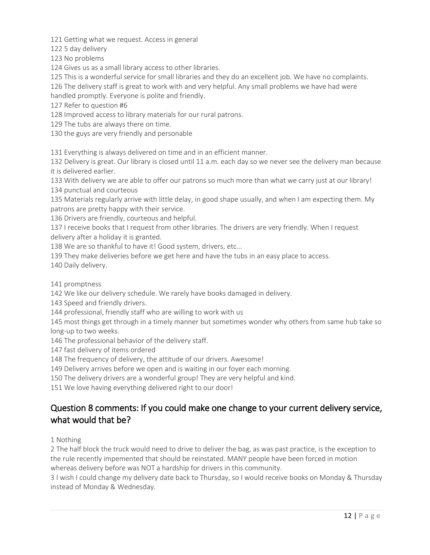121 Getting what we request. Access in general

122 5 day delivery

123 No problems

124 Gives us as a small library access to other libraries.

125 This is a wonderful service for small libraries and they do an excellent job. We have no complaints.

126 The delivery staff is great to work with and very helpful. Any small problems we have had were handled promptly. Everyone is polite and friendly.

127 Refer to question #6

128 Improved access to library materials for our rural patrons.

129 The tubs are always there on time.

130 the guys are very friendly and personable

131 Everything is always delivered on time and in an efficient manner.

132 Delivery is great. Our library is closed until 11 a.m. each day so we never see the delivery man because it is delivered earlier.

133 With delivery we are able to offer our patrons so much more than what we carry just at our library! 134 punctual and courteous

135 Materials regularly arrive with little delay, in good shape usually, and when I am expecting them. My patrons are pretty happy with their service.

136 Drivers are friendly, courteous and helpful.

137 I receive books that I request from other libraries. The drivers are very friendly. When I request delivery after a holiday it is granted.

138 We are so thankful to have it! Good system, drivers, etc...

139 They make deliveries before we get here and have the tubs in an easy place to access.

140 Daily delivery.

141 promptness

142 We like our delivery schedule. We rarely have books damaged in delivery.

143 Speed and friendly drivers.

144 professional, friendly staff who are willing to work with us

145 most things get through in a timely manner but sometimes wonder why others from same hub take so long-up to two weeks.

146 The professional behavior of the delivery staff.

147 fast delivery of items ordered

148 The frequency of delivery, the attitude of our drivers. Awesome!

149 Delivery arrives before we open and is waiting in our foyer each morning.

150 The delivery drivers are a wonderful group! They are very helpful and kind.

151 We love having everything delivered right to our door!

#### Question 8 comments: If you could make one change to your current delivery service, what would that be?

1 Nothing

2 The half block the truck would need to drive to deliver the bag, as was past practice, is the exception to the rule recently impemented that should be reinstated. MANY people have been forced in motion whereas delivery before was NOT a hardship for drivers in this community.

3 I wish I could change my delivery date back to Thursday, so I would receive books on Monday & Thursday instead of Monday & Wednesday.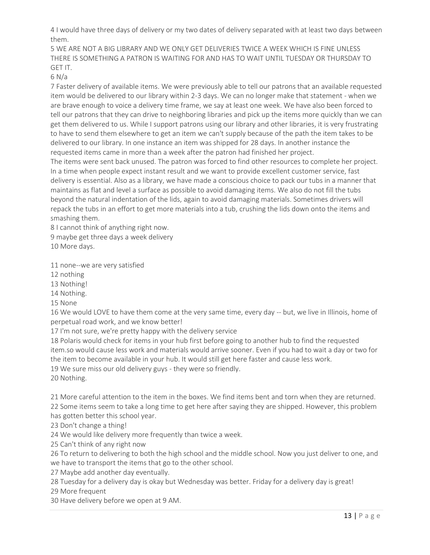4 I would have three days of delivery or my two dates of delivery separated with at least two days between them.

5 WE ARE NOT A BIG LIBRARY AND WE ONLY GET DELIVERIES TWICE A WEEK WHICH IS FINE UNLESS THERE IS SOMETHING A PATRON IS WAITING FOR AND HAS TO WAIT UNTIL TUESDAY OR THURSDAY TO GET IT.

6 N/a

7 Faster delivery of available items. We were previously able to tell our patrons that an available requested item would be delivered to our library within 2-3 days. We can no longer make that statement - when we are brave enough to voice a delivery time frame, we say at least one week. We have also been forced to tell our patrons that they can drive to neighboring libraries and pick up the items more quickly than we can get them delivered to us. While I support patrons using our library and other libraries, it is very frustrating to have to send them elsewhere to get an item we can't supply because of the path the item takes to be delivered to our library. In one instance an item was shipped for 28 days. In another instance the requested items came in more than a week after the patron had finished her project.

The items were sent back unused. The patron was forced to find other resources to complete her project. In a time when people expect instant result and we want to provide excellent customer service, fast delivery is essential. Also as a library, we have made a conscious choice to pack our tubs in a manner that maintains as flat and level a surface as possible to avoid damaging items. We also do not fill the tubs beyond the natural indentation of the lids, again to avoid damaging materials. Sometimes drivers will repack the tubs in an effort to get more materials into a tub, crushing the lids down onto the items and smashing them.

8 I cannot think of anything right now.

9 maybe get three days a week delivery

10 More days.

11 none--we are very satisfied

12 nothing

13 Nothing!

14 Nothing.

15 None

16 We would LOVE to have them come at the very same time, every day -- but, we live in Illinois, home of perpetual road work, and we know better!

17 I'm not sure, we're pretty happy with the delivery service

18 Polaris would check for items in your hub first before going to another hub to find the requested item.so would cause less work and materials would arrive sooner. Even if you had to wait a day or two for the item to become available in your hub. It would still get here faster and cause less work.

19 We sure miss our old delivery guys - they were so friendly.

20 Nothing.

21 More careful attention to the item in the boxes. We find items bent and torn when they are returned. 22 Some items seem to take a long time to get here after saying they are shipped. However, this problem has gotten better this school year.

23 Don't change a thing!

24 We would like delivery more frequently than twice a week.

25 Can't think of any right now

26 To return to delivering to both the high school and the middle school. Now you just deliver to one, and we have to transport the items that go to the other school.

27 Maybe add another day eventually.

28 Tuesday for a delivery day is okay but Wednesday was better. Friday for a delivery day is great!

29 More frequent

30 Have delivery before we open at 9 AM.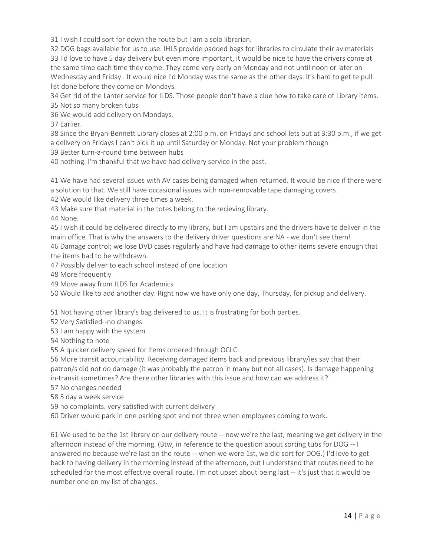31 I wish I could sort for down the route but I am a solo librarian.

32 DOG bags available for us to use. IHLS provide padded bags for libraries to circulate their av materials 33 I'd love to have 5 day delivery but even more important, it would be nice to have the drivers come at the same time each time they come. They come very early on Monday and not until noon or later on Wednesday and Friday . It would nice I'd Monday was the same as the other days. It's hard to get te pull list done before they come on Mondays.

34 Get rid of the Lanter service for ILDS. Those people don't have a clue how to take care of Library items. 35 Not so many broken tubs

36 We would add delivery on Mondays.

37 Earlier.

38 Since the Bryan-Bennett Library closes at 2:00 p.m. on Fridays and school lets out at 3:30 p.m., if we get a delivery on Fridays I can't pick it up until Saturday or Monday. Not your problem though

39 Better turn-a-round time between hubs

40 nothing. I'm thankful that we have had delivery service in the past.

41 We have had several issues with AV cases being damaged when returned. It would be nice if there were a solution to that. We still have occasional issues with non-removable tape damaging covers.

42 We would like delivery three times a week.

43 Make sure that material in the totes belong to the recieving library.

44 None.

45 I wish it could be delivered directly to my library, but I am upstairs and the drivers have to deliver in the main office. That is why the answers to the delivery driver questions are NA - we don't see them! 46 Damage control; we lose DVD cases regularly and have had damage to other items severe enough that the items had to be withdrawn.

47 Possibly deliver to each school instead of one location

48 More frequently

49 Move away from ILDS for Academics

50 Would like to add another day. Right now we have only one day, Thursday, for pickup and delivery.

51 Not having other library's bag delivered to us. It is frustrating for both parties.

52 Very Satisfied--no changes

53 I am happy with the system

54 Nothing to note

55 A quicker delivery speed for items ordered through OCLC.

56 More transit accountability. Receiving damaged items back and previous library/ies say that their patron/s did not do damage (it was probably the patron in many but not all cases). Is damage happening in-transit sometimes? Are there other libraries with this issue and how can we address it?

57 No changes needed

58 5 day a week service

59 no complaints. very satisfied with current delivery

60 Driver would park in one parking spot and not three when employees coming to work.

61 We used to be the 1st library on our delivery route -- now we're the last, meaning we get delivery in the afternoon instead of the morning. (Btw, in reference to the question about sorting tubs for DOG -- I answered no because we're last on the route -- when we were 1st, we did sort for DOG.) I'd love to get back to having delivery in the morning instead of the afternoon, but I understand that routes need to be scheduled for the most effective overall route. I'm not upset about being last -- it's just that it would be number one on my list of changes.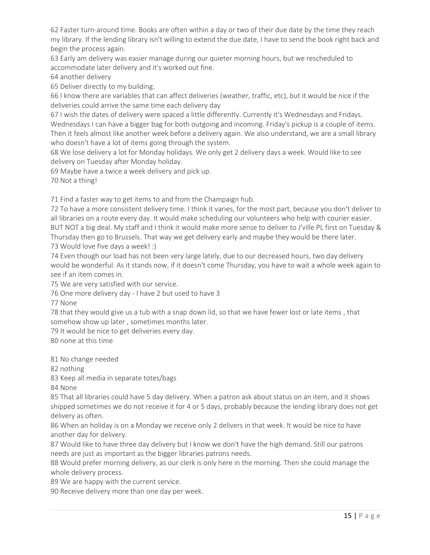62 Faster turn-around time. Books are often within a day or two of their due date by the time they reach my library. If the lending library isn't willing to extend the due date, I have to send the book right back and begin the process again.

63 Early am delivery was easier manage during our quieter morning hours, but we rescheduled to accommodate later delivery and it's worked out fine.

64 another delivery

65 Deliver directly to my building.

66 I know there are variables that can affect deliveries (weather, traffic, etc), but it would be nice if the deliveries could arrive the same time each delivery day

67 I wish the dates of delivery were spaced a little differently. Currently it's Wednesdays and Fridays. Wednesdays I can have a bigger bag for both outgoing and incoming. Friday's pickup is a couple of items. Then it feels almost like another week before a delivery again. We also understand, we are a small library who doesn't have a lot of items going through the system.

68 We lose delivery a lot for Monday holidays. We only get 2 delivery days a week. Would like to see delivery on Tuesday after Monday holiday.

69 Maybe have a twice a week delivery and pick up.

70 Not a thing!

71 Find a faster way to get items to and from the Champaign hub.

72 To have a more consistent delivery time. I think it varies, for the most part, because you don't deliver to all libraries on a route every day. It would make scheduling our volunteers who help with courier easier. BUT NOT a big deal. My staff and I think it would make more sense to deliver to J'ville PL first on Tuesday & Thursday then go to Brussels. That way we get delivery early and maybe they would be there later. 73 Would love five days a week! :)

74 Even though our load has not been very large lately, due to our decreased hours, two day delivery would be wonderful. As it stands now, if it doesn't come Thursday, you have to wait a whole week again to see if an item comes in.

75 We are very satisfied with our service.

76 One more delivery day - I have 2 but used to have 3

77 None

78 that they would give us a tub with a snap down lid, so that we have fewer lost or late items , that somehow show up later , sometimes months later.

79 It would be nice to get deliveries every day.

80 none at this time

81 No change needed

82 nothing

83 Keep all media in separate totes/bags

84 None

85 That all libraries could have 5 day delivery. When a patron ask about status on an item, and it shows shipped sometimes we do not receive it for 4 or 5 days, probably because the lending library does not get delivery as often.

86 When an holiday is on a Monday we receive only 2 delivers in that week. It would be nice to have another day for delivery.

87 Would like to have three day delivery but I know we don't have the high demand. Still our patrons needs are just as important as the bigger libraries patrons needs.

88 Would prefer morning delivery, as our clerk is only here in the morning. Then she could manage the whole delivery process.

89 We are happy with the current service.

90 Receive delivery more than one day per week.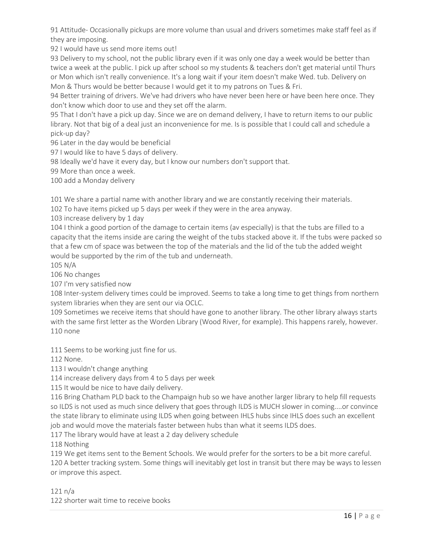91 Attitude- Occasionally pickups are more volume than usual and drivers sometimes make staff feel as if they are imposing.

92 I would have us send more items out!

93 Delivery to my school, not the public library even if it was only one day a week would be better than twice a week at the public. I pick up after school so my students & teachers don't get material until Thurs or Mon which isn't really convenience. It's a long wait if your item doesn't make Wed. tub. Delivery on Mon & Thurs would be better because I would get it to my patrons on Tues & Fri.

94 Better training of drivers. We've had drivers who have never been here or have been here once. They don't know which door to use and they set off the alarm.

95 That I don't have a pick up day. Since we are on demand delivery, I have to return items to our public library. Not that big of a deal just an inconvenience for me. Is is possible that I could call and schedule a pick-up day?

96 Later in the day would be beneficial

97 I would like to have 5 days of delivery.

98 Ideally we'd have it every day, but I know our numbers don't support that.

99 More than once a week.

100 add a Monday delivery

101 We share a partial name with another library and we are constantly receiving their materials.

102 To have items picked up 5 days per week if they were in the area anyway.

103 increase delivery by 1 day

104 I think a good portion of the damage to certain items (av especially) is that the tubs are filled to a capacity that the items inside are caring the weight of the tubs stacked above it. If the tubs were packed so that a few cm of space was between the top of the materials and the lid of the tub the added weight would be supported by the rim of the tub and underneath.

105 N/A

106 No changes

107 I'm very satisfied now

108 Inter-system delivery times could be improved. Seems to take a long time to get things from northern system libraries when they are sent our via OCLC.

109 Sometimes we receive items that should have gone to another library. The other library always starts with the same first letter as the Worden Library (Wood River, for example). This happens rarely, however. 110 none

111 Seems to be working just fine for us.

112 None.

113 I wouldn't change anything

114 increase delivery days from 4 to 5 days per week

115 It would be nice to have daily delivery.

116 Bring Chatham PLD back to the Champaign hub so we have another larger library to help fill requests so ILDS is not used as much since delivery that goes through ILDS is MUCH slower in coming....or convince the state library to eliminate using ILDS when going between IHLS hubs since IHLS does such an excellent job and would move the materials faster between hubs than what it seems ILDS does.

117 The library would have at least a 2 day delivery schedule

118 Nothing

119 We get items sent to the Bement Schools. We would prefer for the sorters to be a bit more careful. 120 A better tracking system. Some things will inevitably get lost in transit but there may be ways to lessen or improve this aspect.

121 n/a

122 shorter wait time to receive books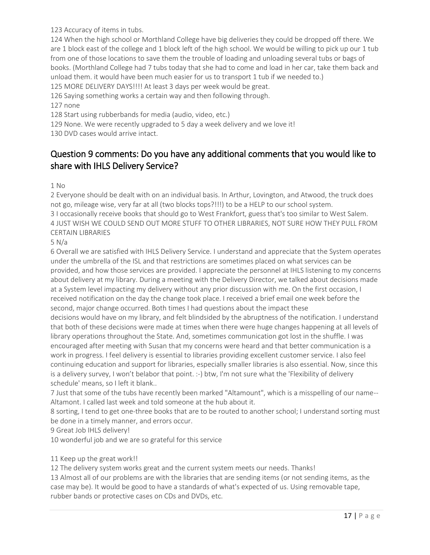123 Accuracy of items in tubs.

124 When the high school or Morthland College have big deliveries they could be dropped off there. We are 1 block east of the college and 1 block left of the high school. We would be willing to pick up our 1 tub from one of those locations to save them the trouble of loading and unloading several tubs or bags of books. (Morthland College had 7 tubs today that she had to come and load in her car, take them back and unload them. it would have been much easier for us to transport 1 tub if we needed to.)

125 MORE DELIVERY DAYS!!!! At least 3 days per week would be great.

126 Saying something works a certain way and then following through.

#### 127 none

128 Start using rubberbands for media (audio, video, etc.)

129 None. We were recently upgraded to 5 day a week delivery and we love it!

130 DVD cases would arrive intact.

#### Question 9 comments: Do you have any additional comments that you would like to share with IHLS Delivery Service?

1 No

2 Everyone should be dealt with on an individual basis. In Arthur, Lovington, and Atwood, the truck does not go, mileage wise, very far at all (two blocks tops?!!!) to be a HELP to our school system.

3 I occasionally receive books that should go to West Frankfort, guess that's too similar to West Salem. 4 JUST WISH WE COULD SEND OUT MORE STUFF TO OTHER LIBRARIES, NOT SURE HOW THEY PULL FROM CERTAIN LIBRARIES

#### 5 N/a

6 Overall we are satisfied with IHLS Delivery Service. I understand and appreciate that the System operates under the umbrella of the ISL and that restrictions are sometimes placed on what services can be provided, and how those services are provided. I appreciate the personnel at IHLS listening to my concerns about delivery at my library. During a meeting with the Delivery Director, we talked about decisions made at a System level impacting my delivery without any prior discussion with me. On the first occasion, I received notification on the day the change took place. I received a brief email one week before the second, major change occurred. Both times I had questions about the impact these decisions would have on my library, and felt blindsided by the abruptness of the notification. I understand that both of these decisions were made at times when there were huge changes happening at all levels of library operations throughout the State. And, sometimes communication got lost in the shuffle. I was

encouraged after meeting with Susan that my concerns were heard and that better communication is a work in progress. I feel delivery is essential to libraries providing excellent customer service. I also feel continuing education and support for libraries, especially smaller libraries is also essential. Now, since this is a delivery survey, I won't belabor that point. :-) btw, I'm not sure what the 'Flexibility of delivery schedule' means, so I left it blank..

7 Just that some of the tubs have recently been marked "Altamount", which is a misspelling of our name-- Altamont. I called last week and told someone at the hub about it.

8 sorting, I tend to get one-three books that are to be routed to another school; I understand sorting must be done in a timely manner, and errors occur.

9 Great Job IHLS delivery!

10 wonderful job and we are so grateful for this service

#### 11 Keep up the great work!!

12 The delivery system works great and the current system meets our needs. Thanks!

13 Almost all of our problems are with the libraries that are sending items (or not sending items, as the case may be). It would be good to have a standards of what's expected of us. Using removable tape, rubber bands or protective cases on CDs and DVDs, etc.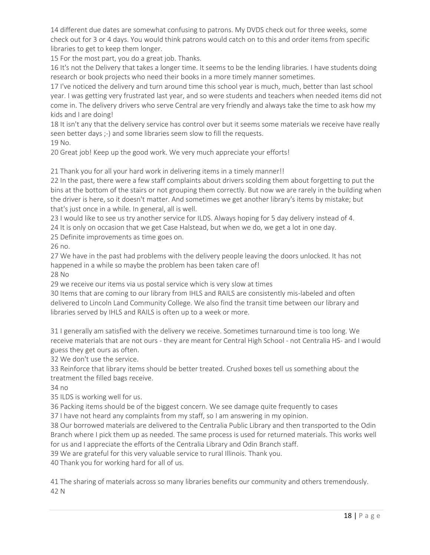14 different due dates are somewhat confusing to patrons. My DVDS check out for three weeks, some check out for 3 or 4 days. You would think patrons would catch on to this and order items from specific libraries to get to keep them longer.

15 For the most part, you do a great job. Thanks.

16 It's not the Delivery that takes a longer time. It seems to be the lending libraries. I have students doing research or book projects who need their books in a more timely manner sometimes.

17 I've noticed the delivery and turn around time this school year is much, much, better than last school year. I was getting very frustrated last year, and so were students and teachers when needed items did not come in. The delivery drivers who serve Central are very friendly and always take the time to ask how my kids and I are doing!

18 It isn't any that the delivery service has control over but it seems some materials we receive have really seen better days ;-) and some libraries seem slow to fill the requests.

19 No.

20 Great job! Keep up the good work. We very much appreciate your efforts!

21 Thank you for all your hard work in delivering items in a timely manner!!

22 In the past, there were a few staff complaints about drivers scolding them about forgetting to put the bins at the bottom of the stairs or not grouping them correctly. But now we are rarely in the building when the driver is here, so it doesn't matter. And sometimes we get another library's items by mistake; but that's just once in a while. In general, all is well.

23 I would like to see us try another service for ILDS. Always hoping for 5 day delivery instead of 4. 24 It is only on occasion that we get Case Halstead, but when we do, we get a lot in one day.

25 Definite improvements as time goes on.

26 no.

27 We have in the past had problems with the delivery people leaving the doors unlocked. It has not happened in a while so maybe the problem has been taken care of!

28 No

29 we receive our items via us postal service which is very slow at times

30 Items that are coming to our library from IHLS and RAILS are consistently mis-labeled and often delivered to Lincoln Land Community College. We also find the transit time between our library and libraries served by IHLS and RAILS is often up to a week or more.

31 I generally am satisfied with the delivery we receive. Sometimes turnaround time is too long. We receive materials that are not ours - they are meant for Central High School - not Centralia HS- and I would guess they get ours as often.

32 We don't use the service.

33 Reinforce that library items should be better treated. Crushed boxes tell us something about the treatment the filled bags receive.

34 no

35 ILDS is working well for us.

36 Packing items should be of the biggest concern. We see damage quite frequently to cases

37 I have not heard any complaints from my staff, so I am answering in my opinion.

38 Our borrowed materials are delivered to the Centralia Public Library and then transported to the Odin Branch where I pick them up as needed. The same process is used for returned materials. This works well for us and I appreciate the efforts of the Centralia Library and Odin Branch staff.

39 We are grateful for this very valuable service to rural Illinois. Thank you.

40 Thank you for working hard for all of us.

41 The sharing of materials across so many libraries benefits our community and others tremendously. 42 N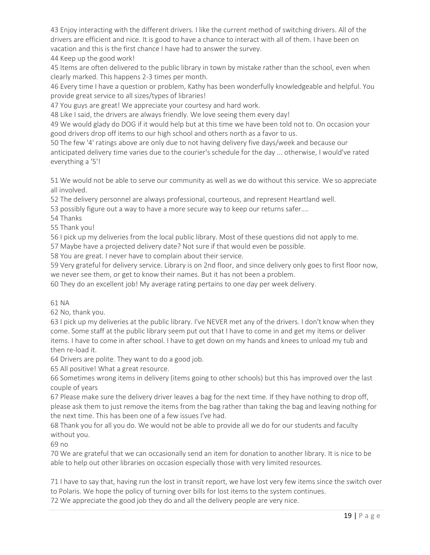43 Enjoy interacting with the different drivers. I like the current method of switching drivers. All of the drivers are efficient and nice. It is good to have a chance to interact with all of them. I have been on vacation and this is the first chance I have had to answer the survey.

44 Keep up the good work!

45 Items are often delivered to the public library in town by mistake rather than the school, even when clearly marked. This happens 2-3 times per month.

46 Every time I have a question or problem, Kathy has been wonderfully knowledgeable and helpful. You provide great service to all sizes/types of libraries!

47 You guys are great! We appreciate your courtesy and hard work.

48 Like I said, the drivers are always friendly. We love seeing them every day!

49 We would glady do DOG if it would help but at this time we have been told not to. On occasion your good drivers drop off items to our high school and others north as a favor to us.

50 The few '4' ratings above are only due to not having delivery five days/week and because our anticipated delivery time varies due to the courier's schedule for the day ... otherwise, I would've rated everything a '5'!

51 We would not be able to serve our community as well as we do without this service. We so appreciate all involved.

52 The delivery personnel are always professional, courteous, and represent Heartland well.

53 possibly figure out a way to have a more secure way to keep our returns safer....

54 Thanks

55 Thank you!

56 I pick up my deliveries from the local public library. Most of these questions did not apply to me.

57 Maybe have a projected delivery date? Not sure if that would even be possible.

58 You are great. I never have to complain about their service.

59 Very grateful for delivery service. Library is on 2nd floor, and since delivery only goes to first floor now, we never see them, or get to know their names. But it has not been a problem.

60 They do an excellent job! My average rating pertains to one day per week delivery.

#### 61 NA

62 No, thank you.

63 I pick up my deliveries at the public library. I've NEVER met any of the drivers. I don't know when they come. Some staff at the public library seem put out that I have to come in and get my items or deliver items. I have to come in after school. I have to get down on my hands and knees to unload my tub and then re-load it.

64 Drivers are polite. They want to do a good job.

65 All positive! What a great resource.

66 Sometimes wrong items in delivery (items going to other schools) but this has improved over the last couple of years

67 Please make sure the delivery driver leaves a bag for the next time. If they have nothing to drop off, please ask them to just remove the items from the bag rather than taking the bag and leaving nothing for the next time. This has been one of a few issues I've had.

68 Thank you for all you do. We would not be able to provide all we do for our students and faculty without you.

69 no

70 We are grateful that we can occasionally send an item for donation to another library. It is nice to be able to help out other libraries on occasion especially those with very limited resources.

71 I have to say that, having run the lost in transit report, we have lost very few items since the switch over to Polaris. We hope the policy of turning over bills for lost items to the system continues.

72 We appreciate the good job they do and all the delivery people are very nice.